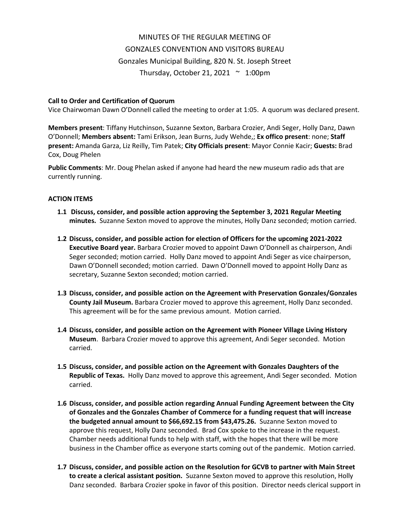# MINUTES OF THE REGULAR MEETING OF GONZALES CONVENTION AND VISITORS BUREAU Gonzales Municipal Building, 820 N. St. Joseph Street Thursday, October 21, 2021  $\sim$  1:00pm

## **Call to Order and Certification of Quorum**

Vice Chairwoman Dawn O'Donnell called the meeting to order at 1:05. A quorum was declared present.

**Members present**: Tiffany Hutchinson, Suzanne Sexton, Barbara Crozier, Andi Seger, Holly Danz, Dawn O'Donnell; **Members absent:** Tami Erikson, Jean Burns, Judy Wehde,; **Ex offico present**: none; **Staff present:** Amanda Garza, Liz Reilly, Tim Patek; **City Officials present**: Mayor Connie Kacir; **Guests:** Brad Cox, Doug Phelen

**Public Comments**: Mr. Doug Phelan asked if anyone had heard the new museum radio ads that are currently running.

### **ACTION ITEMS**

- **1.1 Discuss, consider, and possible action approving the September 3, 2021 Regular Meeting minutes.** Suzanne Sexton moved to approve the minutes, Holly Danz seconded; motion carried.
- **1.2 Discuss, consider, and possible action for election of Officers for the upcoming 2021-2022 Executive Board year.** Barbara Crozier moved to appoint Dawn O'Donnell as chairperson, Andi Seger seconded; motion carried. Holly Danz moved to appoint Andi Seger as vice chairperson, Dawn O'Donnell seconded; motion carried. Dawn O'Donnell moved to appoint Holly Danz as secretary, Suzanne Sexton seconded; motion carried.
- **1.3 Discuss, consider, and possible action on the Agreement with Preservation Gonzales/Gonzales County Jail Museum.** Barbara Crozier moved to approve this agreement, Holly Danz seconded. This agreement will be for the same previous amount. Motion carried.
- **1.4 Discuss, consider, and possible action on the Agreement with Pioneer Village Living History Museum**. Barbara Crozier moved to approve this agreement, Andi Seger seconded. Motion carried.
- **1.5 Discuss, consider, and possible action on the Agreement with Gonzales Daughters of the Republic of Texas.** Holly Danz moved to approve this agreement, Andi Seger seconded. Motion carried.
- **1.6 Discuss, consider, and possible action regarding Annual Funding Agreement between the City of Gonzales and the Gonzales Chamber of Commerce for a funding request that will increase the budgeted annual amount to \$66,692.15 from \$43,475.26.** Suzanne Sexton moved to approve this request, Holly Danz seconded. Brad Cox spoke to the increase in the request. Chamber needs additional funds to help with staff, with the hopes that there will be more business in the Chamber office as everyone starts coming out of the pandemic. Motion carried.
- **1.7 Discuss, consider, and possible action on the Resolution for GCVB to partner with Main Street to create a clerical assistant position.** Suzanne Sexton moved to approve this resolution, Holly Danz seconded. Barbara Crozier spoke in favor of this position. Director needs clerical support in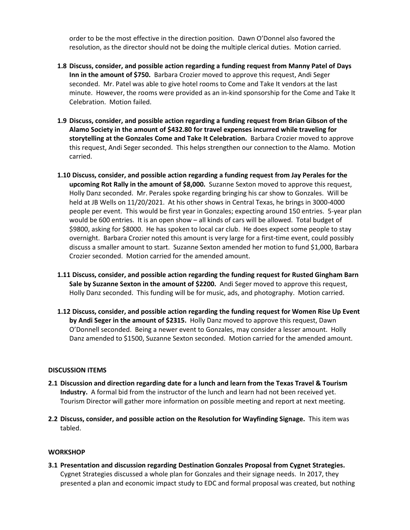order to be the most effective in the direction position. Dawn O'Donnel also favored the resolution, as the director should not be doing the multiple clerical duties. Motion carried.

- **1.8 Discuss, consider, and possible action regarding a funding request from Manny Patel of Days Inn in the amount of \$750.** Barbara Crozier moved to approve this request, Andi Seger seconded. Mr. Patel was able to give hotel rooms to Come and Take It vendors at the last minute. However, the rooms were provided as an in-kind sponsorship for the Come and Take It Celebration. Motion failed.
- **1.9 Discuss, consider, and possible action regarding a funding request from Brian Gibson of the Alamo Society in the amount of \$432.80 for travel expenses incurred while traveling for storytelling at the Gonzales Come and Take It Celebration.** Barbara Crozier moved to approve this request, Andi Seger seconded. This helps strengthen our connection to the Alamo. Motion carried.
- **1.10 Discuss, consider, and possible action regarding a funding request from Jay Perales for the upcoming Rot Rally in the amount of \$8,000.** Suzanne Sexton moved to approve this request, Holly Danz seconded. Mr. Perales spoke regarding bringing his car show to Gonzales. Will be held at JB Wells on 11/20/2021. At his other shows in Central Texas, he brings in 3000-4000 people per event. This would be first year in Gonzales; expecting around 150 entries. 5-year plan would be 600 entries. It is an open show – all kinds of cars will be allowed. Total budget of \$9800, asking for \$8000. He has spoken to local car club. He does expect some people to stay overnight. Barbara Crozier noted this amount is very large for a first-time event, could possibly discuss a smaller amount to start. Suzanne Sexton amended her motion to fund \$1,000, Barbara Crozier seconded. Motion carried for the amended amount.
- **1.11 Discuss, consider, and possible action regarding the funding request for Rusted Gingham Barn Sale by Suzanne Sexton in the amount of \$2200.** Andi Seger moved to approve this request, Holly Danz seconded. This funding will be for music, ads, and photography. Motion carried.
- **1.12 Discuss, consider, and possible action regarding the funding request for Women Rise Up Event by Andi Seger in the amount of \$2315.** Holly Danz moved to approve this request, Dawn O'Donnell seconded. Being a newer event to Gonzales, may consider a lesser amount. Holly Danz amended to \$1500, Suzanne Sexton seconded. Motion carried for the amended amount.

#### **DISCUSSION ITEMS**

- **2.1 Discussion and direction regarding date for a lunch and learn from the Texas Travel & Tourism Industry.** A formal bid from the instructor of the lunch and learn had not been received yet. Tourism Director will gather more information on possible meeting and report at next meeting.
- **2.2 Discuss, consider, and possible action on the Resolution for Wayfinding Signage.** This item was tabled.

#### **WORKSHOP**

**3.1 Presentation and discussion regarding Destination Gonzales Proposal from Cygnet Strategies.**  Cygnet Strategies discussed a whole plan for Gonzales and their signage needs. In 2017, they presented a plan and economic impact study to EDC and formal proposal was created, but nothing